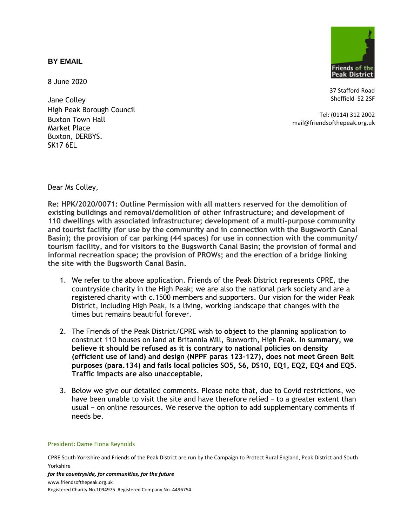## **BY EMAIL**

8 June 2020

Jane Colley High Peak Borough Council Buxton Town Hall Market Place Buxton, DERBYS. SK17 6EL



37 Stafford Road Sheffield S2 2SF

Tel: (0114) 312 2002 mail@friendsofthepeak.org.uk

Dear Ms Colley,

**Re: HPK/2020/0071: Outline Permission with all matters reserved for the demolition of existing buildings and removal/demolition of other infrastructure; and development of 110 dwellings with associated infrastructure; development of a multi-purpose community and tourist facility (for use by the community and in connection with the Bugsworth Canal Basin); the provision of car parking (44 spaces) for use in connection with the community/ tourism facility, and for visitors to the Bugsworth Canal Basin; the provision of formal and informal recreation space; the provision of PROWs; and the erection of a bridge linking the site with the Bugsworth Canal Basin.**

- 1. We refer to the above application. Friends of the Peak District represents CPRE, the countryside charity in the High Peak; we are also the national park society and are a registered charity with c.1500 members and supporters. Our vision for the wider Peak District, including High Peak, is a living, working landscape that changes with the times but remains beautiful forever.
- 2. The Friends of the Peak District/CPRE wish to **object** to the planning application to construct 110 houses on land at Britannia Mill, Buxworth, High Peak. **In summary, we believe it should be refused as it is contrary to national policies on density (efficient use of land) and design (NPPF paras 123-127), does not meet Green Belt purposes (para.134) and fails local policies SO5, S6, DS10, EQ1, EQ2, EQ4 and EQ5. Traffic impacts are also unacceptable.**
- 3. Below we give our detailed comments. Please note that, due to Covid restrictions, we have been unable to visit the site and have therefore relied − to a greater extent than usual − on online resources. We reserve the option to add supplementary comments if needs be.

#### President: Dame Fiona Reynolds

CPRE South Yorkshire and Friends of the Peak District are run by the Campaign to Protect Rural England, Peak District and South Yorkshire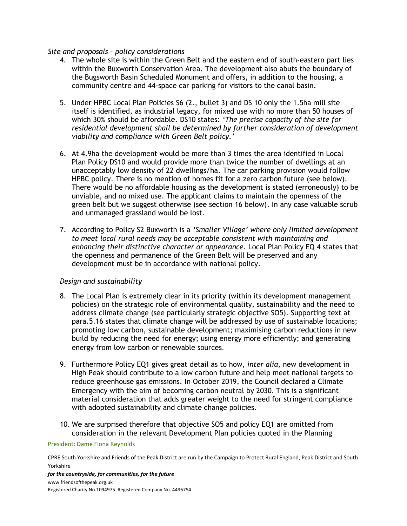## *Site and proposals – policy considerations*

- 4. The whole site is within the Green Belt and the eastern end of south-eastern part lies within the Buxworth Conservation Area. The development also abuts the boundary of the Bugsworth Basin Scheduled Monument and offers, in addition to the housing, a community centre and 44-space car parking for visitors to the canal basin.
- 5. Under HPBC Local Plan Policies S6 (2., bullet 3) and DS 10 only the 1.5ha mill site itself is identified, as industrial legacy, for mixed use with no more than 50 houses of which 30% should be affordable. DS10 states: *'The precise capacity of the site for residential development shall be determined by further consideration of development viability and compliance with Green Belt policy.'*
- 6. At 4.9ha the development would be more than 3 times the area identified in Local Plan Policy DS10 and would provide more than twice the number of dwellings at an unacceptably low density of 22 dwellings/ha. The car parking provision would follow HPBC policy. There is no mention of homes fit for a zero carbon future (see below). There would be no affordable housing as the development is stated (erroneously) to be unviable, and no mixed use. The applicant claims to maintain the openness of the green belt but we suggest otherwise (see section 16 below). In any case valuable scrub and unmanaged grassland would be lost.
- 7. According to Policy S2 Buxworth is a *'Smaller Village' where only limited development to meet local rural needs may be acceptable consistent with maintaining and enhancing their distinctive character or appearance*. Local Plan Policy EQ 4 states that the openness and permanence of the Green Belt will be preserved and any development must be in accordance with national policy.

# *Design and sustainability*

- 8. The Local Plan is extremely clear in its priority (within its development management policies) on the strategic role of environmental quality, sustainability and the need to address climate change (see particularly strategic objective SO5). Supporting text at para.5.16 states that climate change will be addressed by use of sustainable locations; promoting low carbon, sustainable development; maximising carbon reductions in new build by reducing the need for energy; using energy more efficiently; and generating energy from low carbon or renewable sources.
- 9. Furthermore Policy EQ1 gives great detail as to how, *inter alia*, new development in High Peak should contribute to a low carbon future and help meet national targets to reduce greenhouse gas emissions. In October 2019, the Council declared a Climate Emergency with the aim of becoming carbon neutral by 2030. This is a significant material consideration that adds greater weight to the need for stringent compliance with adopted sustainability and climate change policies.
- 10. We are surprised therefore that objective SO5 and policy EQ1 are omitted from consideration in the relevant Development Plan policies quoted in the Planning

### President: Dame Fiona Reynolds

CPRE South Yorkshire and Friends of the Peak District are run by the Campaign to Protect Rural England, Peak District and South Yorkshire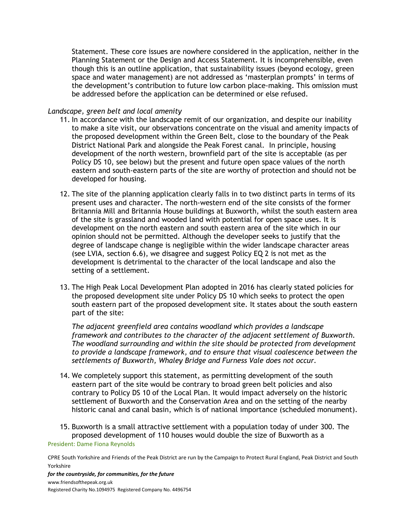Statement. These core issues are nowhere considered in the application, neither in the Planning Statement or the Design and Access Statement. It is incomprehensible, even though this is an outline application, that sustainability issues (beyond ecology, green space and water management) are not addressed as 'masterplan prompts' in terms of the development's contribution to future low carbon place-making. This omission must be addressed before the application can be determined or else refused.

## *Landscape, green belt and local amenity*

- 11. In accordance with the landscape remit of our organization, and despite our inability to make a site visit, our observations concentrate on the visual and amenity impacts of the proposed development within the Green Belt, close to the boundary of the Peak District National Park and alongside the Peak Forest canal. In principle, housing development of the north western, brownfield part of the site is acceptable (as per Policy DS 10, see below) but the present and future open space values of the north eastern and south-eastern parts of the site are worthy of protection and should not be developed for housing.
- 12. The site of the planning application clearly falls in to two distinct parts in terms of its present uses and character. The north-western end of the site consists of the former Britannia Mill and Britannia House buildings at Buxworth, whilst the south eastern area of the site is grassland and wooded land with potential for open space uses. It is development on the north eastern and south eastern area of the site which in our opinion should not be permitted. Although the developer seeks to justify that the degree of landscape change is negligible within the wider landscape character areas (see LVIA, section 6.6), we disagree and suggest Policy EQ 2 is not met as the development is detrimental to the character of the local landscape and also the setting of a settlement.
- 13. The High Peak Local Development Plan adopted in 2016 has clearly stated policies for the proposed development site under Policy DS 10 which seeks to protect the open south eastern part of the proposed development site. It states about the south eastern part of the site:

*The adjacent greenfield area contains woodland which provides a landscape framework and contributes to the character of the adjacent settlement of Buxworth. The woodland surrounding and within the site should be protected from development to provide a landscape framework, and to ensure that visual coalescence between the settlements of Buxworth, Whaley Bridge and Furness Vale does not occur.*

- 14. We completely support this statement, as permitting development of the south eastern part of the site would be contrary to broad green belt policies and also contrary to Policy DS 10 of the Local Plan. It would impact adversely on the historic settlement of Buxworth and the Conservation Area and on the setting of the nearby historic canal and canal basin, which is of national importance (scheduled monument).
- President: Dame Fiona Reynolds 15. Buxworth is a small attractive settlement with a population today of under 300. The proposed development of 110 houses would double the size of Buxworth as a

CPRE South Yorkshire and Friends of the Peak District are run by the Campaign to Protect Rural England, Peak District and South Yorkshire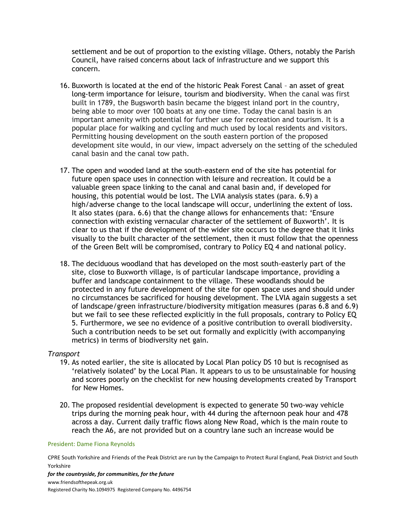settlement and be out of proportion to the existing village. Others, notably the Parish Council, have raised concerns about lack of infrastructure and we support this concern.

- 16. Buxworth is located at the end of the historic Peak Forest Canal an asset of great long-term importance for leisure, tourism and biodiversity. When the canal was first built in 1789, the Bugsworth basin became the biggest inland port in the country, being able to moor over 100 boats at any one time. Today the canal basin is an important amenity with potential for further use for recreation and tourism. It is a popular place for walking and cycling and much used by local residents and visitors. Permitting housing development on the south eastern portion of the proposed development site would, in our view, impact adversely on the setting of the scheduled canal basin and the canal tow path.
- 17. The open and wooded land at the south-eastern end of the site has potential for future open space uses in connection with leisure and recreation. It could be a valuable green space linking to the canal and canal basin and, if developed for housing, this potential would be lost. The LVIA analysis states (para. 6.9) a high/adverse change to the local landscape will occur, underlining the extent of loss. It also states (para. 6.6) that the change allows for enhancements that: 'Ensure connection with existing vernacular character of the settlement of Buxworth'. It is clear to us that if the development of the wider site occurs to the degree that it links visually to the built character of the settlement, then it must follow that the openness of the Green Belt will be compromised, contrary to Policy EQ 4 and national policy.
- 18. The deciduous woodland that has developed on the most south-easterly part of the site, close to Buxworth village, is of particular landscape importance, providing a buffer and landscape containment to the village. These woodlands should be protected in any future development of the site for open space uses and should under no circumstances be sacrificed for housing development. The LVIA again suggests a set of landscape/green infrastructure/biodiversity mitigation measures (paras 6.8 and 6.9) but we fail to see these reflected explicitly in the full proposals, contrary to Policy EQ 5. Furthermore, we see no evidence of a positive contribution to overall biodiversity. Such a contribution needs to be set out formally and explicitly (with accompanying metrics) in terms of biodiversity net gain.

### *Transport*

- 19. As noted earlier, the site is allocated by Local Plan policy DS 10 but is recognised as 'relatively isolated' by the Local Plan. It appears to us to be unsustainable for housing and scores poorly on the checklist for new housing developments created by Transport for New Homes.
- 20. The proposed residential development is expected to generate 50 two-way vehicle trips during the morning peak hour, with 44 during the afternoon peak hour and 478 across a day. Current daily traffic flows along New Road, which is the main route to reach the A6, are not provided but on a country lane such an increase would be

#### President: Dame Fiona Reynolds

CPRE South Yorkshire and Friends of the Peak District are run by the Campaign to Protect Rural England, Peak District and South Yorkshire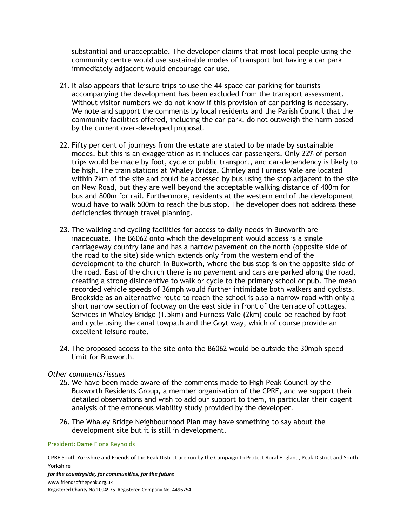substantial and unacceptable. The developer claims that most local people using the community centre would use sustainable modes of transport but having a car park immediately adjacent would encourage car use.

- 21. It also appears that leisure trips to use the 44-space car parking for tourists accompanying the development has been excluded from the transport assessment. Without visitor numbers we do not know if this provision of car parking is necessary. We note and support the comments by local residents and the Parish Council that the community facilities offered, including the car park, do not outweigh the harm posed by the current over-developed proposal.
- 22. Fifty per cent of journeys from the estate are stated to be made by sustainable modes, but this is an exaggeration as it includes car passengers. Only 22% of person trips would be made by foot, cycle or public transport, and car-dependency is likely to be high. The train stations at Whaley Bridge, Chinley and Furness Vale are located within 2km of the site and could be accessed by bus using the stop adjacent to the site on New Road, but they are well beyond the acceptable walking distance of 400m for bus and 800m for rail. Furthermore, residents at the western end of the development would have to walk 500m to reach the bus stop. The developer does not address these deficiencies through travel planning.
- 23. The walking and cycling facilities for access to daily needs in Buxworth are inadequate. The B6062 onto which the development would access is a single carriageway country lane and has a narrow pavement on the north (opposite side of the road to the site) side which extends only from the western end of the development to the church in Buxworth, where the bus stop is on the opposite side of the road. East of the church there is no pavement and cars are parked along the road, creating a strong disincentive to walk or cycle to the primary school or pub. The mean recorded vehicle speeds of 36mph would further intimidate both walkers and cyclists. Brookside as an alternative route to reach the school is also a narrow road with only a short narrow section of footway on the east side in front of the terrace of cottages. Services in Whaley Bridge (1.5km) and Furness Vale (2km) could be reached by foot and cycle using the canal towpath and the Goyt way, which of course provide an excellent leisure route.
- 24. The proposed access to the site onto the B6062 would be outside the 30mph speed limit for Buxworth.

### *Other comments/issues*

- 25. We have been made aware of the comments made to High Peak Council by the Buxworth Residents Group, a member organisation of the CPRE, and we support their detailed observations and wish to add our support to them, in particular their cogent analysis of the erroneous viability study provided by the developer.
- 26. The Whaley Bridge Neighbourhood Plan may have something to say about the development site but it is still in development.

#### President: Dame Fiona Reynolds

CPRE South Yorkshire and Friends of the Peak District are run by the Campaign to Protect Rural England, Peak District and South Yorkshire